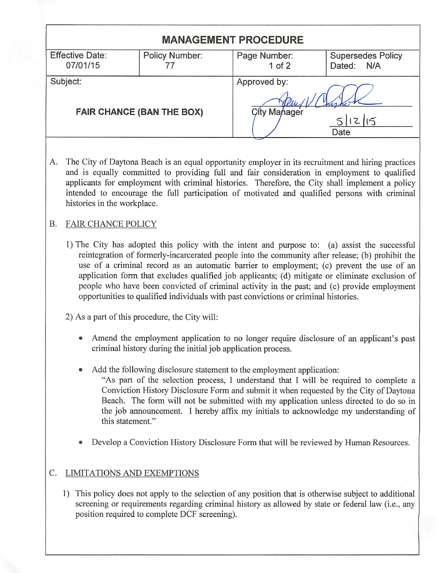| <b>MANAGEMENT PROCEDURE</b>                  |                |                                                        |                                        |  |  |  |
|----------------------------------------------|----------------|--------------------------------------------------------|----------------------------------------|--|--|--|
| <b>Effective Date:</b><br>07/01/15           | Policy Number: | Page Number:<br>$1$ of $2$                             | <b>Supersedes Policy</b><br>Dated: N/A |  |  |  |
| Subject:<br><b>FAIR CHANCE (BAN THE BOX)</b> |                | Approved by:<br>City Manager<br>$\overline{5}$<br>Date |                                        |  |  |  |
|                                              |                |                                                        |                                        |  |  |  |

A. The City of Daytona Beach is an equal opportunity employer in its recruitment and hiring practices and is equally committed to providing full and fair consideration in employment to qualified applicants for employment with criminal histories. Therefore, the City shall implement a policy intended to encourage the full participation of motivated and qualified persons with criminal histories in the workplace.

## B. FAIR CHANCE POLICY

- 1) The City has adopted this policy with the intent and purpose to: (a) assist the successful reintegration of formerly-incarcerated people into the community after release; (b) prohibit the use of a criminal record as an automatic barrier to employment; (c) prevent the use of an application form that excludes qualified job applicants; (d) mitigate or eliminate exclusion of people who have been convicted of criminal activity in the past; and (c) provide employment opportunities to qualified individuals with past convictions or criminal histories.
- 2) As a part of this procedure, the City will:
	- Amend the employment application to no longer require disclosure of an applicant's past criminal history during the initial job application process.
	- Add the following disclosure statement to the employment application: "As part of the selection process, I understand that I will be required to complete a Conviction History Disclosure Form and submit it when requested by the City of Daytona Beach. The form will not be submitted with my application unless directed to do so in the job announcement. I hereby affix my initials to acknowledge my understanding of this statement."
	- Develop a Conviction History Disclosure Form that will be reviewed by Human Resources.

## C. LIMITATIONS AND EXEMPTIONS

1) This policy does not apply to the selection of any position that is otherwise subject to additional screening or requirements regarding criminal history as allowed by state or federal law (i.e., any position required to complete DCF screening).